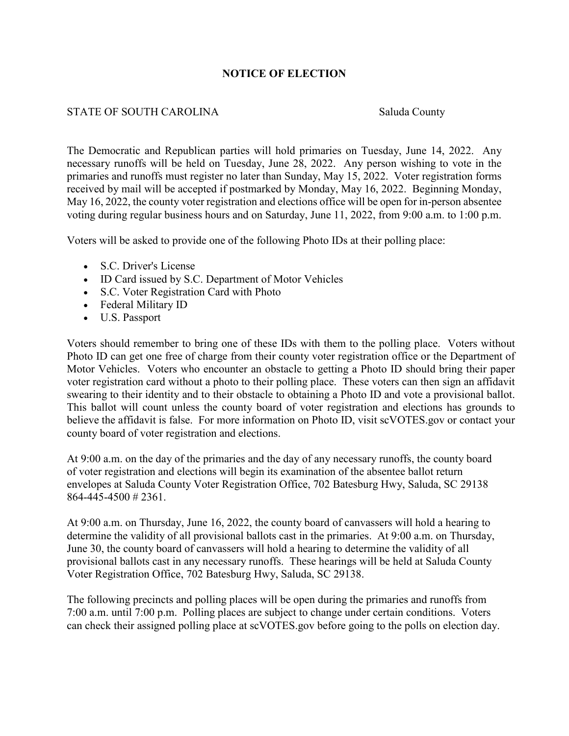## **NOTICE OF ELECTION**

## STATE OF SOUTH CAROLINA Saluda County

The Democratic and Republican parties will hold primaries on Tuesday, June 14, 2022. Any necessary runoffs will be held on Tuesday, June 28, 2022. Any person wishing to vote in the primaries and runoffs must register no later than Sunday, May 15, 2022. Voter registration forms received by mail will be accepted if postmarked by Monday, May 16, 2022. Beginning Monday, May 16, 2022, the county voter registration and elections office will be open for in-person absentee voting during regular business hours and on Saturday, June 11, 2022, from 9:00 a.m. to 1:00 p.m.

Voters will be asked to provide one of the following Photo IDs at their polling place:

- S.C. Driver's License
- ID Card issued by S.C. Department of Motor Vehicles
- S.C. Voter Registration Card with Photo
- Federal Military ID
- U.S. Passport

Voters should remember to bring one of these IDs with them to the polling place. Voters without Photo ID can get one free of charge from their county voter registration office or the Department of Motor Vehicles. Voters who encounter an obstacle to getting a Photo ID should bring their paper voter registration card without a photo to their polling place. These voters can then sign an affidavit swearing to their identity and to their obstacle to obtaining a Photo ID and vote a provisional ballot. This ballot will count unless the county board of voter registration and elections has grounds to believe the affidavit is false. For more information on Photo ID, visit scVOTES.gov or contact your county board of voter registration and elections.

At 9:00 a.m. on the day of the primaries and the day of any necessary runoffs, the county board of voter registration and elections will begin its examination of the absentee ballot return envelopes at Saluda County Voter Registration Office, 702 Batesburg Hwy, Saluda, SC 29138 864-445-4500 # 2361.

At 9:00 a.m. on Thursday, June 16, 2022, the county board of canvassers will hold a hearing to determine the validity of all provisional ballots cast in the primaries. At 9:00 a.m. on Thursday, June 30, the county board of canvassers will hold a hearing to determine the validity of all provisional ballots cast in any necessary runoffs. These hearings will be held at Saluda County Voter Registration Office, 702 Batesburg Hwy, Saluda, SC 29138.

The following precincts and polling places will be open during the primaries and runoffs from 7:00 a.m. until 7:00 p.m. Polling places are subject to change under certain conditions. Voters can check their assigned polling place at scVOTES.gov before going to the polls on election day.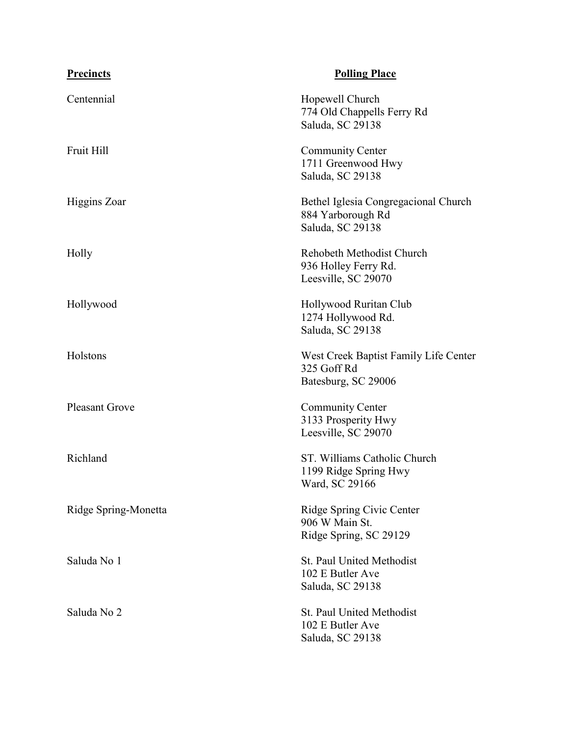| <b>Precincts</b>      | <b>Polling Place</b>                                                          |
|-----------------------|-------------------------------------------------------------------------------|
| Centennial            | Hopewell Church<br>774 Old Chappells Ferry Rd<br>Saluda, SC 29138             |
| Fruit Hill            | <b>Community Center</b><br>1711 Greenwood Hwy<br>Saluda, SC 29138             |
| Higgins Zoar          | Bethel Iglesia Congregacional Church<br>884 Yarborough Rd<br>Saluda, SC 29138 |
| Holly                 | Rehobeth Methodist Church<br>936 Holley Ferry Rd.<br>Leesville, SC 29070      |
| Hollywood             | Hollywood Ruritan Club<br>1274 Hollywood Rd.<br>Saluda, SC 29138              |
| Holstons              | West Creek Baptist Family Life Center<br>325 Goff Rd<br>Batesburg, SC 29006   |
| <b>Pleasant Grove</b> | <b>Community Center</b><br>3133 Prosperity Hwy<br>Leesville, SC 29070         |
| Richland              | ST. Williams Catholic Church<br>1199 Ridge Spring Hwy<br>Ward, SC 29166       |
| Ridge Spring-Monetta  | Ridge Spring Civic Center<br>906 W Main St.<br>Ridge Spring, SC 29129         |
| Saluda No 1           | St. Paul United Methodist<br>102 E Butler Ave<br>Saluda, SC 29138             |
| Saluda No 2           | St. Paul United Methodist<br>102 E Butler Ave<br>Saluda, SC 29138             |